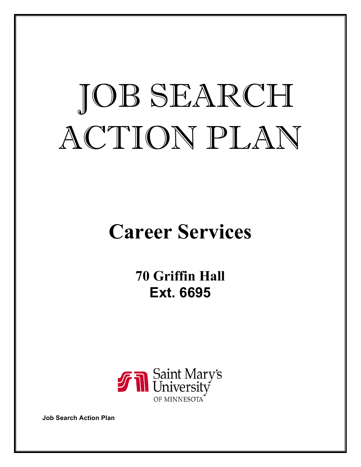# JOB SEARCH ACTION PLAN

# **Career Services**

**70 Griffin Hall Ext. 6695**



**Job Search Action Plan**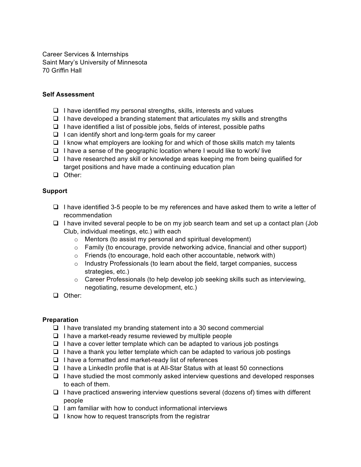Career Services & Internships Saint Mary's University of Minnesota 70 Griffin Hall

#### **Self Assessment**

- $\Box$  I have identified my personal strengths, skills, interests and values
- $\Box$  I have developed a branding statement that articulates my skills and strengths
- $\Box$  I have identified a list of possible jobs, fields of interest, possible paths
- $\Box$  I can identify short and long-term goals for my career
- $\Box$  I know what employers are looking for and which of those skills match my talents
- $\Box$  I have a sense of the geographic location where I would like to work/ live
- $\Box$  I have researched any skill or knowledge areas keeping me from being qualified for target positions and have made a continuing education plan
- **Q** Other:

#### **Support**

- $\Box$  I have identified 3-5 people to be my references and have asked them to write a letter of recommendation
- $\Box$  I have invited several people to be on my job search team and set up a contact plan (Job Club, individual meetings, etc.) with each
	- o Mentors (to assist my personal and spiritual development)
	- $\circ$  Family (to encourage, provide networking advice, financial and other support)
	- o Friends (to encourage, hold each other accountable, network with)
	- $\circ$  Industry Professionals (to learn about the field, target companies, success strategies, etc.)
	- $\circ$  Career Professionals (to help develop job seeking skills such as interviewing, negotiating, resume development, etc.)
- □ Other:

#### **Preparation**

- $\Box$  I have translated my branding statement into a 30 second commercial
- $\Box$  I have a market-ready resume reviewed by multiple people
- $\Box$  I have a cover letter template which can be adapted to various job postings
- $\Box$  I have a thank you letter template which can be adapted to various job postings
- $\Box$  I have a formatted and market-ready list of references
- $\Box$  I have a LinkedIn profile that is at All-Star Status with at least 50 connections
- $\Box$  I have studied the most commonly asked interview questions and developed responses to each of them.
- $\Box$  I have practiced answering interview questions several (dozens of) times with different people
- $\Box$  I am familiar with how to conduct informational interviews
- $\Box$  I know how to request transcripts from the registrar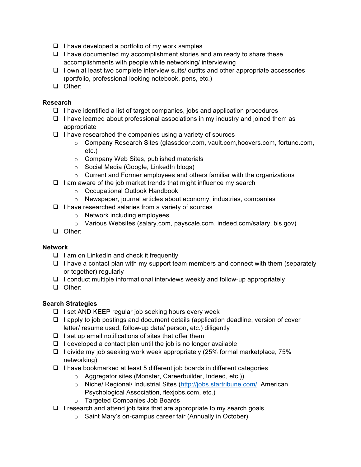- $\Box$  I have developed a portfolio of my work samples
- $\Box$  I have documented my accomplishment stories and am ready to share these accomplishments with people while networking/ interviewing
- $\Box$  I own at least two complete interview suits/ outfits and other appropriate accessories (portfolio, professional looking notebook, pens, etc.)
- D Other:

### **Research**

- $\Box$  I have identified a list of target companies, jobs and application procedures
- $\Box$  I have learned about professional associations in my industry and joined them as appropriate
- $\Box$  I have researched the companies using a variety of sources
	- o Company Research Sites (glassdoor.com, vault.com,hoovers.com, fortune.com, etc.)
	- o Company Web Sites, published materials
	- o Social Media (Google, LinkedIn blogs)
	- o Current and Former employees and others familiar with the organizations
- $\Box$  I am aware of the job market trends that might influence my search
	- o Occupational Outlook Handbook
	- o Newspaper, journal articles about economy, industries, companies
- $\Box$  I have researched salaries from a variety of sources
	- o Network including employees
	- o Various Websites (salary.com, payscale.com, indeed.com/salary, bls.gov)
- **Q** Other:

#### **Network**

- $\Box$  I am on LinkedIn and check it frequently
- $\Box$  I have a contact plan with my support team members and connect with them (separately or together) regularly
- $\Box$  I conduct multiple informational interviews weekly and follow-up appropriately
- **Q** Other:

#### **Search Strategies**

- $\Box$  I set AND KEEP regular job seeking hours every week
- $\Box$  I apply to job postings and document details (application deadline, version of cover letter/ resume used, follow-up date/ person, etc.) diligently
- $\Box$  I set up email notifications of sites that offer them
- $\Box$  I developed a contact plan until the job is no longer available
- $\Box$  I divide my job seeking work week appropriately (25% formal marketplace, 75% networking)
- $\Box$  I have bookmarked at least 5 different job boards in different categories
	- o Aggregator sites (Monster, Careerbuilder, Indeed, etc.))
	- o Niche/ Regional/ Industrial Sites (http://jobs.startribune.com/, American Psychological Association, flexjobs.com, etc.)
	- o Targeted Companies Job Boards
- $\Box$  I research and attend job fairs that are appropriate to my search goals
	- o Saint Mary's on-campus career fair (Annually in October)